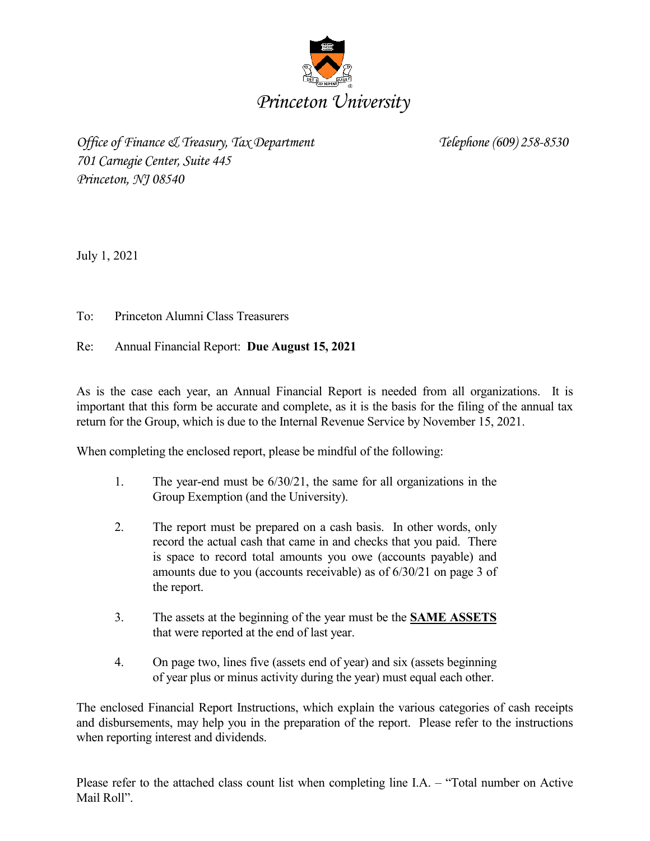

*Office of Finance & Treasury, Tax Department Telephone (609) 258-8530 701 Carnegie Center, Suite 445 Princeton, NJ 08540*

July 1, 2021

To: Princeton Alumni Class Treasurers

Re: Annual Financial Report: **Due August 15, 2021**

As is the case each year, an Annual Financial Report is needed from all organizations. It is important that this form be accurate and complete, as it is the basis for the filing of the annual tax return for the Group, which is due to the Internal Revenue Service by November 15, 2021.

When completing the enclosed report, please be mindful of the following:

- 1. The year-end must be 6/30/21, the same for all organizations in the Group Exemption (and the University).
- 2. The report must be prepared on a cash basis. In other words, only record the actual cash that came in and checks that you paid. There is space to record total amounts you owe (accounts payable) and amounts due to you (accounts receivable) as of 6/30/21 on page 3 of the report.
- 3. The assets at the beginning of the year must be the **SAME ASSETS** that were reported at the end of last year.
- 4. On page two, lines five (assets end of year) and six (assets beginning of year plus or minus activity during the year) must equal each other.

The enclosed Financial Report Instructions, which explain the various categories of cash receipts and disbursements, may help you in the preparation of the report. Please refer to the instructions when reporting interest and dividends.

Please refer to the attached class count list when completing line I.A. – "Total number on Active Mail Roll".